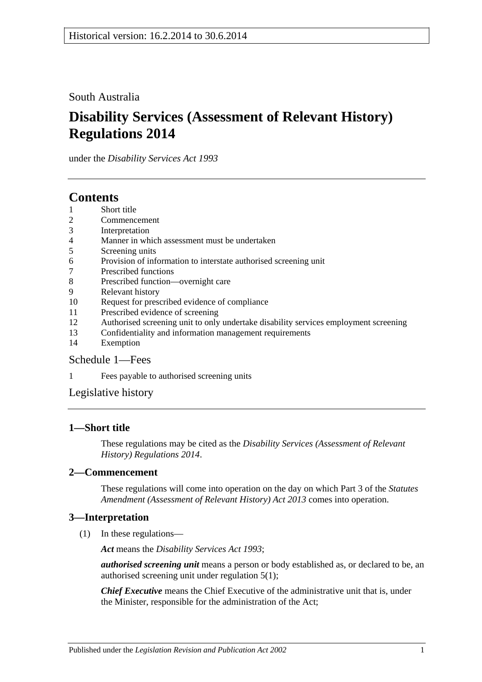South Australia

# **Disability Services (Assessment of Relevant History) Regulations 2014**

under the *Disability Services Act 1993*

# **Contents**

- 1 [Short title](#page-0-0)
- 2 [Commencement](#page-0-1)
- 3 [Interpretation](#page-0-2)
- 4 [Manner in which assessment must be undertaken](#page-1-0)
- 5 [Screening units](#page-1-1)
- 6 [Provision of information to interstate authorised screening unit](#page-1-2)
- 7 [Prescribed functions](#page-1-3)
- 8 [Prescribed function—overnight care](#page-2-0)
- 9 [Relevant history](#page-2-1)
- 10 [Request for prescribed evidence of compliance](#page-2-2)
- 11 [Prescribed evidence of screening](#page-3-0)
- 12 [Authorised screening unit to only undertake disability services employment screening](#page-3-1)
- 13 [Confidentiality and information management requirements](#page-3-2)
- 14 [Exemption](#page-4-0)

# [Schedule](#page-4-1) 1—Fees

1 [Fees payable to authorised screening units](#page-4-2)

[Legislative history](#page-6-0)

# <span id="page-0-0"></span>**1—Short title**

These regulations may be cited as the *Disability Services (Assessment of Relevant History) Regulations 2014*.

# <span id="page-0-1"></span>**2—Commencement**

These regulations will come into operation on the day on which Part 3 of the *[Statutes](http://www.legislation.sa.gov.au/index.aspx?action=legref&type=act&legtitle=Statutes%20Amendment%20(Assessment%20of%20Relevant%20History)%20Act%202013)  [Amendment \(Assessment of Relevant History\) Act](http://www.legislation.sa.gov.au/index.aspx?action=legref&type=act&legtitle=Statutes%20Amendment%20(Assessment%20of%20Relevant%20History)%20Act%202013) 2013* comes into operation.

# <span id="page-0-2"></span>**3—Interpretation**

(1) In these regulations—

*Act* means the *[Disability Services Act](http://www.legislation.sa.gov.au/index.aspx?action=legref&type=act&legtitle=Disability%20Services%20Act%201993) 1993*;

*authorised screening unit* means a person or body established as, or declared to be, an authorised screening unit under [regulation](#page-1-4) 5(1);

*Chief Executive* means the Chief Executive of the administrative unit that is, under the Minister, responsible for the administration of the Act;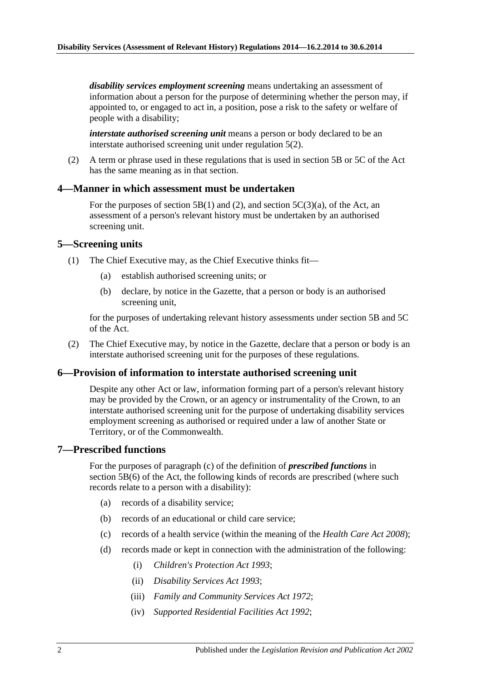*disability services employment screening* means undertaking an assessment of information about a person for the purpose of determining whether the person may, if appointed to, or engaged to act in, a position, pose a risk to the safety or welfare of people with a disability;

*interstate authorised screening unit* means a person or body declared to be an interstate authorised screening unit under [regulation](#page-1-5) 5(2).

(2) A term or phrase used in these regulations that is used in section 5B or 5C of the Act has the same meaning as in that section.

#### <span id="page-1-0"></span>**4—Manner in which assessment must be undertaken**

For the purposes of section 5B(1) and (2), and section  $5C(3)(a)$ , of the Act, an assessment of a person's relevant history must be undertaken by an authorised screening unit.

## <span id="page-1-4"></span><span id="page-1-1"></span>**5—Screening units**

- <span id="page-1-6"></span>(1) The Chief Executive may, as the Chief Executive thinks fit—
	- (a) establish authorised screening units; or
	- (b) declare, by notice in the Gazette, that a person or body is an authorised screening unit,

for the purposes of undertaking relevant history assessments under section 5B and 5C of the Act.

<span id="page-1-5"></span>(2) The Chief Executive may, by notice in the Gazette, declare that a person or body is an interstate authorised screening unit for the purposes of these regulations.

#### <span id="page-1-2"></span>**6—Provision of information to interstate authorised screening unit**

Despite any other Act or law, information forming part of a person's relevant history may be provided by the Crown, or an agency or instrumentality of the Crown, to an interstate authorised screening unit for the purpose of undertaking disability services employment screening as authorised or required under a law of another State or Territory, or of the Commonwealth.

#### <span id="page-1-3"></span>**7—Prescribed functions**

For the purposes of paragraph (c) of the definition of *prescribed functions* in section 5B(6) of the Act, the following kinds of records are prescribed (where such records relate to a person with a disability):

- (a) records of a disability service;
- (b) records of an educational or child care service;
- (c) records of a health service (within the meaning of the *[Health Care Act](http://www.legislation.sa.gov.au/index.aspx?action=legref&type=act&legtitle=Health%20Care%20Act%202008) 2008*);
- (d) records made or kept in connection with the administration of the following:
	- (i) *[Children's Protection Act](http://www.legislation.sa.gov.au/index.aspx?action=legref&type=act&legtitle=Childrens%20Protection%20Act%201993) 1993*;
	- (ii) *[Disability Services Act](http://www.legislation.sa.gov.au/index.aspx?action=legref&type=act&legtitle=Disability%20Services%20Act%201993) 1993*;
	- (iii) *[Family and Community Services Act](http://www.legislation.sa.gov.au/index.aspx?action=legref&type=act&legtitle=Family%20and%20Community%20Services%20Act%201972) 1972*;
	- (iv) *[Supported Residential Facilities Act](http://www.legislation.sa.gov.au/index.aspx?action=legref&type=act&legtitle=Supported%20Residential%20Facilities%20Act%201992) 1992*;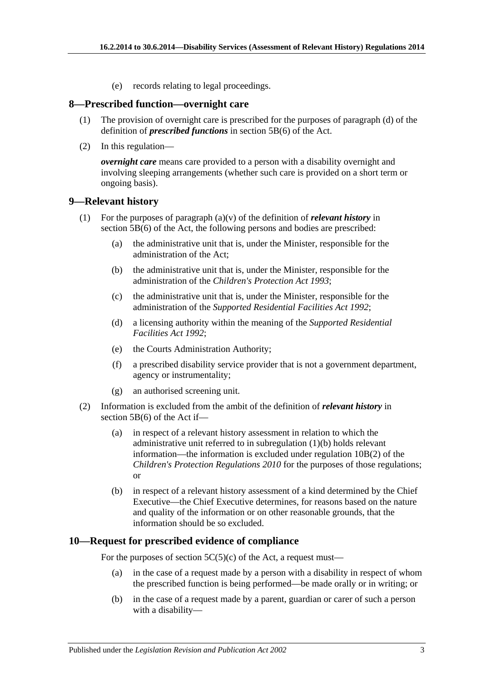(e) records relating to legal proceedings.

#### <span id="page-2-0"></span>**8—Prescribed function—overnight care**

- (1) The provision of overnight care is prescribed for the purposes of paragraph (d) of the definition of *prescribed functions* in section 5B(6) of the Act.
- (2) In this regulation—

*overnight care* means care provided to a person with a disability overnight and involving sleeping arrangements (whether such care is provided on a short term or ongoing basis).

## <span id="page-2-1"></span>**9—Relevant history**

- <span id="page-2-3"></span>(1) For the purposes of paragraph (a)(v) of the definition of *relevant history* in section 5B(6) of the Act, the following persons and bodies are prescribed:
	- (a) the administrative unit that is, under the Minister, responsible for the administration of the Act;
	- (b) the administrative unit that is, under the Minister, responsible for the administration of the *[Children's Protection Act](http://www.legislation.sa.gov.au/index.aspx?action=legref&type=act&legtitle=Childrens%20Protection%20Act%201993) 1993*;
	- (c) the administrative unit that is, under the Minister, responsible for the administration of the *[Supported Residential Facilities Act](http://www.legislation.sa.gov.au/index.aspx?action=legref&type=act&legtitle=Supported%20Residential%20Facilities%20Act%201992) 1992*;
	- (d) a licensing authority within the meaning of the *[Supported Residential](http://www.legislation.sa.gov.au/index.aspx?action=legref&type=act&legtitle=Supported%20Residential%20Facilities%20Act%201992)  [Facilities Act](http://www.legislation.sa.gov.au/index.aspx?action=legref&type=act&legtitle=Supported%20Residential%20Facilities%20Act%201992) 1992*;
	- (e) the Courts Administration Authority;
	- (f) a prescribed disability service provider that is not a government department, agency or instrumentality;
	- (g) an authorised screening unit.
- (2) Information is excluded from the ambit of the definition of *relevant history* in section 5B(6) of the Act if—
	- (a) in respect of a relevant history assessment in relation to which the administrative unit referred to in [subregulation](#page-2-3) (1)(b) holds relevant information—the information is excluded under regulation 10B(2) of the *[Children's Protection Regulations](http://www.legislation.sa.gov.au/index.aspx?action=legref&type=subordleg&legtitle=Childrens%20Protection%20Regulations%202010) 2010* for the purposes of those regulations; or
	- (b) in respect of a relevant history assessment of a kind determined by the Chief Executive—the Chief Executive determines, for reasons based on the nature and quality of the information or on other reasonable grounds, that the information should be so excluded.

# <span id="page-2-2"></span>**10—Request for prescribed evidence of compliance**

For the purposes of section  $5C(5)(c)$  of the Act, a request must—

- (a) in the case of a request made by a person with a disability in respect of whom the prescribed function is being performed—be made orally or in writing; or
- (b) in the case of a request made by a parent, guardian or carer of such a person with a disability—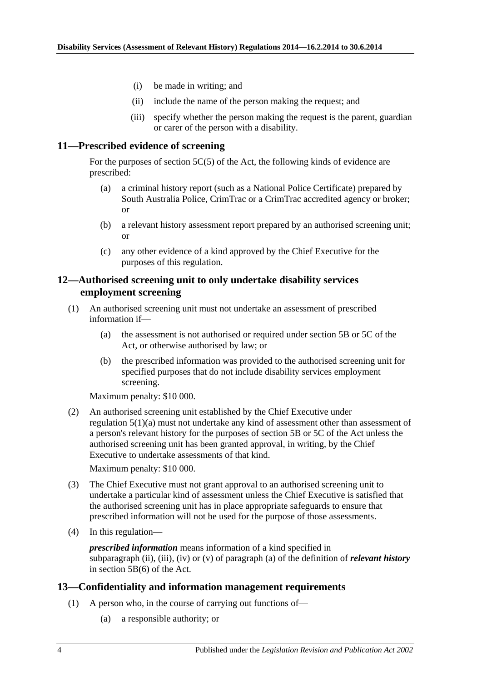- (i) be made in writing; and
- (ii) include the name of the person making the request; and
- (iii) specify whether the person making the request is the parent, guardian or carer of the person with a disability.

## <span id="page-3-0"></span>**11—Prescribed evidence of screening**

For the purposes of section 5C(5) of the Act, the following kinds of evidence are prescribed:

- (a) a criminal history report (such as a National Police Certificate) prepared by South Australia Police, CrimTrac or a CrimTrac accredited agency or broker; or
- (b) a relevant history assessment report prepared by an authorised screening unit; or
- (c) any other evidence of a kind approved by the Chief Executive for the purposes of this regulation.

## <span id="page-3-1"></span>**12—Authorised screening unit to only undertake disability services employment screening**

- (1) An authorised screening unit must not undertake an assessment of prescribed information if—
	- (a) the assessment is not authorised or required under section 5B or 5C of the Act, or otherwise authorised by law; or
	- (b) the prescribed information was provided to the authorised screening unit for specified purposes that do not include disability services employment screening.

Maximum penalty: \$10 000.

(2) An authorised screening unit established by the Chief Executive under [regulation](#page-1-6) 5(1)(a) must not undertake any kind of assessment other than assessment of a person's relevant history for the purposes of section 5B or 5C of the Act unless the authorised screening unit has been granted approval, in writing, by the Chief Executive to undertake assessments of that kind.

Maximum penalty: \$10 000.

- (3) The Chief Executive must not grant approval to an authorised screening unit to undertake a particular kind of assessment unless the Chief Executive is satisfied that the authorised screening unit has in place appropriate safeguards to ensure that prescribed information will not be used for the purpose of those assessments.
- (4) In this regulation—

*prescribed information* means information of a kind specified in subparagraph (ii), (iii), (iv) or (v) of paragraph (a) of the definition of *relevant history* in section 5B(6) of the Act.

# <span id="page-3-2"></span>**13—Confidentiality and information management requirements**

- (1) A person who, in the course of carrying out functions of—
	- (a) a responsible authority; or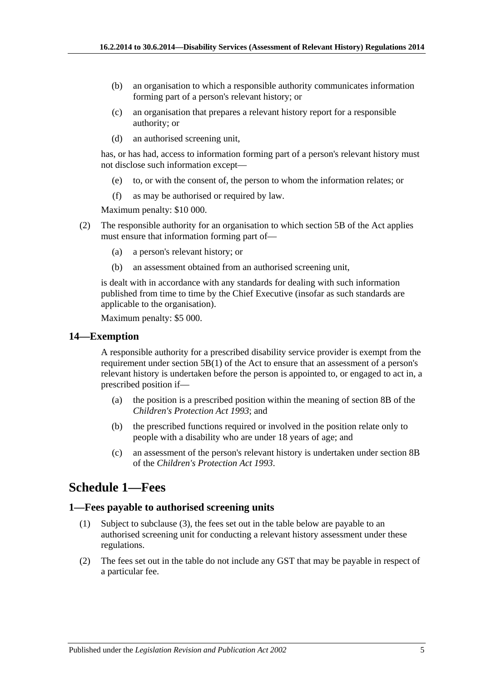- (b) an organisation to which a responsible authority communicates information forming part of a person's relevant history; or
- (c) an organisation that prepares a relevant history report for a responsible authority; or
- (d) an authorised screening unit,

has, or has had, access to information forming part of a person's relevant history must not disclose such information except—

- (e) to, or with the consent of, the person to whom the information relates; or
- (f) as may be authorised or required by law.

Maximum penalty: \$10 000.

- (2) The responsible authority for an organisation to which section 5B of the Act applies must ensure that information forming part of—
	- (a) a person's relevant history; or
	- (b) an assessment obtained from an authorised screening unit,

is dealt with in accordance with any standards for dealing with such information published from time to time by the Chief Executive (insofar as such standards are applicable to the organisation).

Maximum penalty: \$5 000.

#### <span id="page-4-0"></span>**14—Exemption**

A responsible authority for a prescribed disability service provider is exempt from the requirement under section 5B(1) of the Act to ensure that an assessment of a person's relevant history is undertaken before the person is appointed to, or engaged to act in, a prescribed position if—

- (a) the position is a prescribed position within the meaning of section 8B of the *[Children's Protection Act](http://www.legislation.sa.gov.au/index.aspx?action=legref&type=act&legtitle=Childrens%20Protection%20Act%201993) 1993*; and
- (b) the prescribed functions required or involved in the position relate only to people with a disability who are under 18 years of age; and
- (c) an assessment of the person's relevant history is undertaken under section 8B of the *[Children's Protection Act](http://www.legislation.sa.gov.au/index.aspx?action=legref&type=act&legtitle=Childrens%20Protection%20Act%201993) 1993*.

# <span id="page-4-1"></span>**Schedule 1—Fees**

#### <span id="page-4-2"></span>**1—Fees payable to authorised screening units**

- (1) Subject to [subclause](#page-5-0) (3), the fees set out in the table below are payable to an authorised screening unit for conducting a relevant history assessment under these regulations.
- (2) The fees set out in the table do not include any GST that may be payable in respect of a particular fee.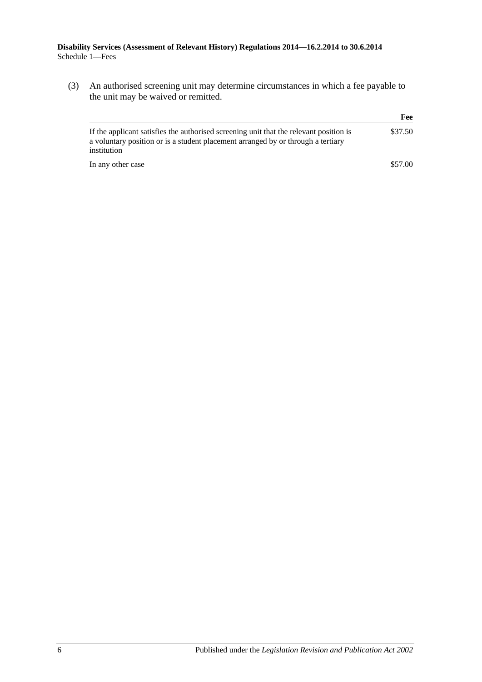<span id="page-5-0"></span>(3) An authorised screening unit may determine circumstances in which a fee payable to the unit may be waived or remitted.

|                                                                                                                                                                                           | Fee     |
|-------------------------------------------------------------------------------------------------------------------------------------------------------------------------------------------|---------|
| If the applicant satisfies the authorised screening unit that the relevant position is<br>a voluntary position or is a student placement arranged by or through a tertiary<br>institution | \$37.50 |
| In any other case                                                                                                                                                                         | \$57.00 |